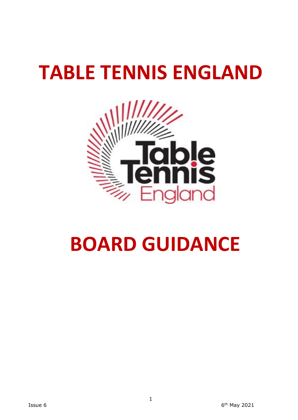# **TABLE TENNIS ENGLAND**



## **BOARD GUIDANCE**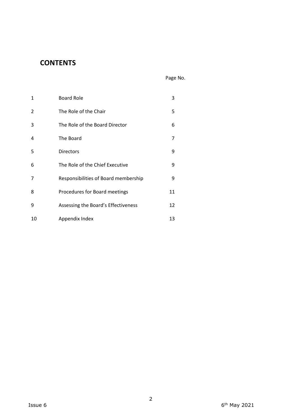## **CONTENTS**

| $\mathbf{1}$   | <b>Board Role</b>                    | 3  |  |
|----------------|--------------------------------------|----|--|
| $\overline{2}$ | The Role of the Chair                | 5  |  |
| 3              | The Role of the Board Director       | 6  |  |
| 4              | The Board                            | 7  |  |
| 5              | <b>Directors</b>                     | 9  |  |
| 6              | The Role of the Chief Executive      | 9  |  |
| 7              | Responsibilities of Board membership | 9  |  |
| 8              | Procedures for Board meetings        | 11 |  |
| 9              | Assessing the Board's Effectiveness  | 12 |  |
| 10             | Appendix Index                       | 13 |  |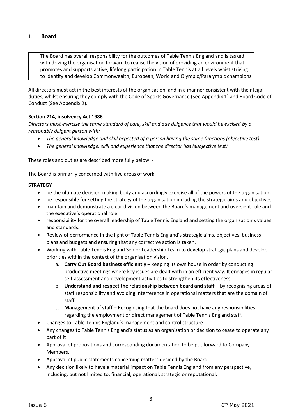#### **1**. **Board**

The Board has overall responsibility for the outcomes of Table Tennis England and is tasked with driving the organisation forward to realise the vision of providing an environment that promotes and supports active, lifelong participation in Table Tennis at all levels whist striving to identify and develop Commonwealth, European, World and Olympic/Paralympic champions

All directors must act in the best interests of the organisation, and in a manner consistent with their legal duties, whilst ensuring they comply with the Code of Sports Governance (See Appendix 1) and Board Code of Conduct (See Appendix 2).

#### **Section 214, insolvency Act 1986**

*Directors must exercise the same standard of care, skill and due diligence that would be excised by a reasonably diligent person with:*

- *The general knowledge and skill expected of a person having the same functions (objective test)*
- *The general knowledge, skill and experience that the director has (subjective test)*

These roles and duties are described more fully below: -

The Board is primarily concerned with five areas of work:

#### **STRATEGY**

- be the ultimate decision-making body and accordingly exercise all of the powers of the organisation.
- be responsible for setting the strategy of the organisation including the strategic aims and objectives.
- maintain and demonstrate a clear division between the Board's management and oversight role and the executive's operational role.
- responsibility for the overall leadership of Table Tennis England and setting the organisation's values and standards.
- Review of performance in the light of Table Tennis England's strategic aims, objectives, business plans and budgets and ensuring that any corrective action is taken.
- Working with Table Tennis England Senior Leadership Team to develop strategic plans and develop priorities within the context of the organisation vision.
	- a. **Carry Out Board business efficiently** keeping its own house in order by conducting productive meetings where key issues are dealt with in an efficient way. It engages in regular self-assessment and development activities to strengthen its effectiveness.
	- b. **Understand and respect the relationship between board and staff** by recognising areas of staff responsibility and avoiding interference in operational matters that are the domain of staff.
	- c. **Management of staff** Recognising that the board does not have any responsibilities regarding the employment or direct management of Table Tennis England staff.
- Changes to Table Tennis England's management and control structure
- Any changes to Table Tennis England's status as an organisation or decision to cease to operate any part of it
- Approval of propositions and corresponding documentation to be put forward to Company Members.
- Approval of public statements concerning matters decided by the Board.
- Any decision likely to have a material impact on Table Tennis England from any perspective, including, but not limited to, financial, operational, strategic or reputational.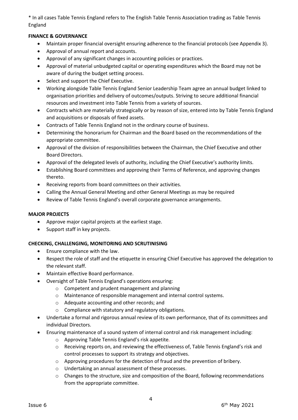\* In all cases Table Tennis England refers to The English Table Tennis Association trading as Table Tennis England

#### **FINANCE & GOVERNANCE**

- Maintain proper financial oversight ensuring adherence to the financial protocols (see Appendix 3).
- Approval of annual report and accounts.
- Approval of any significant changes in accounting policies or practices.
- Approval of material unbudgeted capital or operating expenditures which the Board may not be aware of during the budget setting process.
- Select and support the Chief Executive.
- Working alongside Table Tennis England Senior Leadership Team agree an annual budget linked to organisation priorities and delivery of outcomes/outputs. Striving to secure additional financial resources and investment into Table Tennis from a variety of sources.
- Contracts which are materially strategically or by reason of size, entered into by Table Tennis England and acquisitions or disposals of fixed assets.
- Contracts of Table Tennis England not in the ordinary course of business.
- Determining the honorarium for Chairman and the Board based on the recommendations of the appropriate committee.
- Approval of the division of responsibilities between the Chairman, the Chief Executive and other Board Directors.
- Approval of the delegated levels of authority, including the Chief Executive's authority limits.
- Establishing Board committees and approving their Terms of Reference, and approving changes thereto.
- Receiving reports from board committees on their activities.
- Calling the Annual General Meeting and other General Meetings as may be required
- Review of Table Tennis England's overall corporate governance arrangements.

#### **MAJOR PROJECTS**

- Approve major capital projects at the earliest stage.
- Support staff in key projects.

#### **CHECKING, CHALLENGING, MONITORING AND SCRUTINISING**

- Ensure compliance with the law.
- Respect the role of staff and the etiquette in ensuring Chief Executive has approved the delegation to the relevant staff.
- Maintain effective Board performance.
- Oversight of Table Tennis England's operations ensuring:
	- o Competent and prudent management and planning
	- o Maintenance of responsible management and internal control systems.
	- o Adequate accounting and other records; and
	- o Compliance with statutory and regulatory obligations.
- Undertake a formal and rigorous annual review of its own performance, that of its committees and individual Directors.
- Ensuring maintenance of a sound system of internal control and risk management including:
	- o Approving Table Tennis England's risk appetite*.*
	- o Receiving reports on, and reviewing the effectiveness of, Table Tennis England's risk and control processes to support its strategy and objectives.
	- o Approving procedures for the detection of fraud and the prevention of bribery.
	- o Undertaking an annual assessment of these processes.
	- o Changes to the structure, size and composition of the Board, following recommendations from the appropriate committee.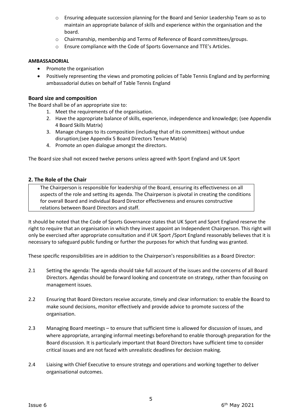- o Ensuring adequate succession planning for the Board and Senior Leadership Team so as to maintain an appropriate balance of skills and experience within the organisation and the board.
- o Chairmanship, membership and Terms of Reference of Board committees/groups.
- o Ensure compliance with the Code of Sports Governance and TTE's Articles.

#### **AMBASSADORIAL**

- Promote the organisation
- Positively representing the views and promoting policies of Table Tennis England and by performing ambassadorial duties on behalf of Table Tennis England

#### **Board size and composition**

The Board shall be of an appropriate size to:

- 1. Meet the requirements of the organisation.
- 2. Have the appropriate balance of skills, experience, independence and knowledge; (see Appendix 4 Board Skills Matrix)
- 3. Manage changes to its composition (including that of its committees) without undue disruption;(see Appendix 5 Board Directors Tenure Matrix)
- 4. Promote an open dialogue amongst the directors.

The Board size shall not exceed twelve persons unless agreed with Sport England and UK Sport

#### **2. The Role of the Chair**

The Chairperson is responsible for leadership of the Board, ensuring its effectiveness on all aspects of the role and setting its agenda. The Chairperson is pivotal in creating the conditions for overall Board and individual Board Director effectiveness and ensures constructive relations between Board Directors and staff.

It should be noted that the Code of Sports Governance states that UK Sport and Sport England reserve the right to require that an organisation in which they invest appoint an Independent Chairperson. This right will only be exercised after appropriate consultation and if UK Sport /Sport England reasonably believes that it is necessary to safeguard public funding or further the purposes for which that funding was granted.

These specific responsibilities are in addition to the Chairperson's responsibilities as a Board Director:

- 2.1 Setting the agenda: The agenda should take full account of the issues and the concerns of all Board Directors. Agendas should be forward looking and concentrate on strategy, rather than focusing on management issues.
- 2.2 Ensuring that Board Directors receive accurate, timely and clear information: to enable the Board to make sound decisions, monitor effectively and provide advice to promote success of the organisation.
- 2.3 Managing Board meetings to ensure that sufficient time is allowed for discussion of issues, and where appropriate, arranging informal meetings beforehand to enable thorough preparation for the Board discussion. It is particularly important that Board Directors have sufficient time to consider critical issues and are not faced with unrealistic deadlines for decision making.
- 2.4 Liaising with Chief Executive to ensure strategy and operations and working together to deliver organisational outcomes.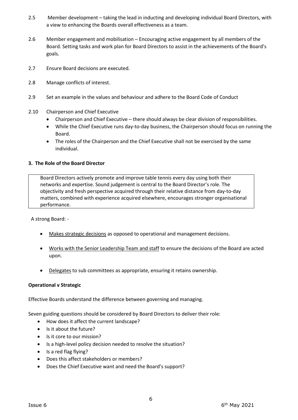- 2.5 Member development taking the lead in inducting and developing individual Board Directors, with a view to enhancing the Boards overall effectiveness as a team.
- 2.6 Member engagement and mobilisation Encouraging active engagement by all members of the Board. Setting tasks and work plan for Board Directors to assist in the achievements of the Board's goals.
- 2.7 Ensure Board decisions are executed.
- 2.8 Manage conflicts of interest.
- 2.9 Set an example in the values and behaviour and adhere to the Board Code of Conduct
- 2.10 Chairperson and Chief Executive
	- Chairperson and Chief Executive there should always be clear division of responsibilities.
	- While the Chief Executive runs day-to-day business, the Chairperson should focus on running the Board.
	- The roles of the Chairperson and the Chief Executive shall not be exercised by the same individual.

#### **3. The Role of the Board Director**

Board Directors actively promote and improve table tennis every day using both their networks and expertise. Sound judgement is central to the Board Director's role. The objectivity and fresh perspective acquired through their relative distance from day-to-day matters, combined with experience acquired elsewhere, encourages stronger organisational performance.

A strong Board: -

- Makes strategic decisions as opposed to operational and management decisions.
- Works with the Senior Leadership Team and staff to ensure the decisions of the Board are acted upon.
- Delegates to sub committees as appropriate, ensuring it retains ownership.

#### **Operational v Strategic**

Effective Boards understand the difference between governing and managing.

Seven guiding questions should be considered by Board Directors to deliver their role:

- How does it affect the current landscape?
- Is it about the future?
- Is it core to our mission?
- Is a high-level policy decision needed to resolve the situation?
- Is a red flag flying?
- Does this affect stakeholders or members?
- Does the Chief Executive want and need the Board's support?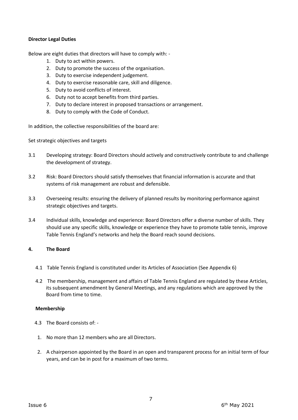#### **Director Legal Duties**

Below are eight duties that directors will have to comply with: -

- 1. Duty to act within powers.
- 2. Duty to promote the success of the organisation.
- 3. Duty to exercise independent judgement.
- 4. Duty to exercise reasonable care, skill and diligence.
- 5. Duty to avoid conflicts of interest.
- 6. Duty not to accept benefits from third parties.
- 7. Duty to declare interest in proposed transactions or arrangement.
- 8. Duty to comply with the Code of Conduct.

In addition, the collective responsibilities of the board are:

Set strategic objectives and targets

- 3.1 Developing strategy: Board Directors should actively and constructively contribute to and challenge the development of strategy.
- 3.2 Risk: Board Directors should satisfy themselves that financial information is accurate and that systems of risk management are robust and defensible.
- 3.3 Overseeing results: ensuring the delivery of planned results by monitoring performance against strategic objectives and targets.
- 3.4 Individual skills, knowledge and experience: Board Directors offer a diverse number of skills. They should use any specific skills, knowledge or experience they have to promote table tennis, improve Table Tennis England's networks and help the Board reach sound decisions.

#### **4. The Board**

- 4.1 Table Tennis England is constituted under its Articles of Association (See Appendix 6)
- 4.2 The membership, management and affairs of Table Tennis England are regulated by these Articles, its subsequent amendment by General Meetings, and any regulations which are approved by the Board from time to time.

#### **Membership**

- 4.3 The Board consists of: -
- 1. No more than 12 members who are all Directors.
- 2. A chairperson appointed by the Board in an open and transparent process for an initial term of four years, and can be in post for a maximum of two terms.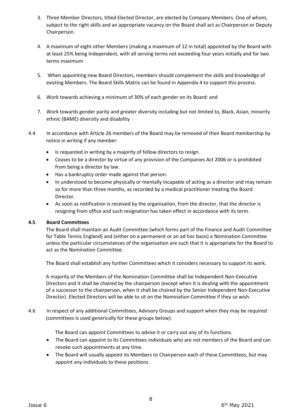- 3. Three Member Directors, titled Elected Director, are elected by Company Members. One of whom, subject to the right skills and an appropriate vacancy on the Board shall act as Chairperson or Deputy Chairperson.
- 4. A maximum of eight other Members (making a maximum of 12 in total) appointed by the Board with at least 25% being Independent, with all serving terms not exceeding four years initially and for two terms maximum
- 5. When appointing new Board Directors, members should complement the skills and knowledge of existing Members. The Board Skills Matrix can be found in Appendix 4 to support this process.
- 6. Work towards achieving a minimum of 30% of each gender on its Board: and
- 7. Work towards gender parity and greater diversity including but not limited to, Black, Asian, minority ethnic (BAME) diversity and disability
- 4.4 In accordance with Article 26 members of the Board may be removed of their Board membership by notice in writing if any member:
	- Is requested in writing by a majority of fellow directors to resign.
	- Ceases to be a director by virtue of any provision of the Companies Act 2006 or is prohibited from being a director by law.
	- Has a bankruptcy order made against that person.
	- In understood to become physically or mentally incapable of acting as a director and may remain so for more than three months, as recorded by a medical practitioner treating the Board Director.
	- As soon as notification is received by the organisation, from the director, that the director is resigning from office and such resignation has taken effect in accordance with its term.

#### **4.5 Board Committees**

The Board shall maintain an Audit Committee (which forms part of the Finance and Audit Committee for Table Tennis England) and (either on a permanent or an ad hoc basis) a Nomination Committee unless the particular circumstances of the organisation are such that it is appropriate for the Board to act as the Nomination Committee.

The Board shall establish any further Committees which it considers necessary to support its work.

A majority of the Members of the Nomination Committee shall be Independent Non-Executive Directors and it shall be chaired by the chairperson (except when it is dealing with the appointment of a successor to the chairperson, when it shall be chaired by the Senior Independent Non-Executive Director). Elected Directors will be able to sit on the Nomination Committee if they so wish.

4.6 In respect of any additional Committees, Advisory Groups and support when they may be required (committees is used generically for these groups below):

The Board can appoint Committees to advise it or carry out any of its functions.

- The Board can appoint to its Committees individuals who are not members of the Board and can revoke such appointments at any time.
- The Board will usually appoint its Members to Chairperson each of these Committees, but may appoint any individuals to these positions.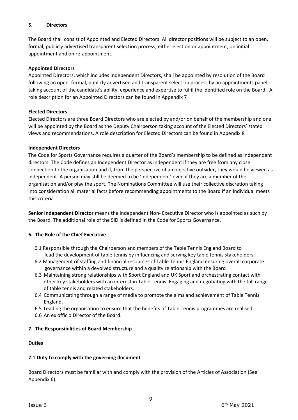#### **5. Directors**

The Board shall consist of Appointed and Elected Directors. All director positions will be subject to an open, formal, publicly advertised transparent selection process, either election or appointment, on initial appointment and on re-appointment.

#### **Appointed Directors**

Appointed Directors, which includes Independent Directors, shall be appointed by resolution of the Board following an open, formal, publicly advertised and transparent selection process by an appointments panel, taking account of the candidate's ability, experience and expertise to fulfil the identified role on the Board. A role description for an Appointed Directors can be found in Appendix 7

#### **Elected Directors**

Elected Directors are three Board Directors who are elected by and/or on behalf of the membership and one will be appointed by the Board as the Deputy Chairperson taking account of the Elected Directors' stated views and recommendations. A role description for Elected Directors can be found in Appendix 8

#### **Independent Directors**

The Code for Sports Governance requires a quarter of the Board's membership to be defined as independent directors. The Code defines an Independent Director as independent if they are free from any close connection to the organisation and if, from the perspective of an objective outsider, they would be viewed as independent. A person may still be deemed to be 'independent' even if they are a member of the organisation and/or play the sport. The Nominations Committee will use their collective discretion taking into consideration all material facts before recommending appointments to the Board if an individual meets this criteria.

**Senior Independent Director** means the Independent Non- Executive Director who is appointed as such by the Board. The additional role of the SID is defined in the Code for Sports Governance.

#### **6. The Role of the Chief Executive**

- 6.1 Responsible through the Chairperson and members of the Table Tennis England Board to lead the development of table tennis by influencing and serving key table tennis stakeholders.
- 6.2 Management of staffing and financial resources of Table Tennis England ensuring overall corporate governance within a devolved structure and a quality relationship with the Board
- 6.3 Maintaining strong relationships with Sport England and UK Sport and orchestrating contact with other key stakeholders with an interest in Table Tennis. Engaging and negotiating with the full range of table tennis and related stakeholders.
- 6.4 Communicating through a range of media to promote the aims and achievement of Table Tennis England.
- 6.5 Leading the organisation to ensure that the benefits of Table Tennis programmes are realised
- 6.6 An ex officio Director of the Board.

#### **7. The Responsibilities of Board Membership**

#### **Duties**

#### **7.1 Duty to comply with the governing document**

Board Directors must be familiar with and comply with the provision of the Articles of Association (See Appendix 6).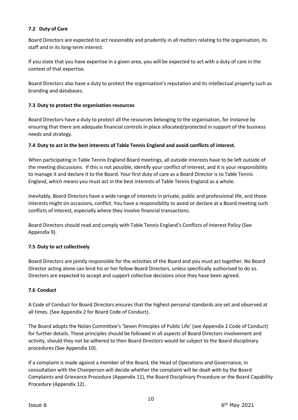#### **7.2 Duty of Care**

Board Directors are expected to act reasonably and prudently in all matters relating to the organisation, its staff and in its long-term interest.

If you state that you have expertise in a given area, you will be expected to act with a duty of care in the context of that expertise.

Board Directors also have a duty to protect the organisation's reputation and its intellectual property such as branding and databases.

#### **7.3 Duty to protect the organisation resources**

Board Directors have a duty to protect all the resources belonging to the organisation, for instance by ensuring that there are adequate financial controls in place allocated/protected in support of the business needs and strategy.

#### **7.4 Duty to act in the best interests of Table Tennis England and avoid conflicts of interest.**

When participating in Table Tennis England Board meetings, all outside interests have to be left outside of the meeting discussions. If this is not possible, identify your conflict of interest, and it is your responsibility to manage it and declare it to the Board. Your first duty of care as a Board Director is to Table Tennis England, which means you must act in the best interests of Table Tennis England as a whole.

Inevitably, Board Directors have a wide range of interests in private, public and professional life, and those interests might on occasions, conflict. You have a responsibility to avoid or declare at a Board meeting such conflicts of interest, especially where they involve financial transactions.

Board Directors should read and comply with Table Tennis England's Conflicts of Interest Policy (See Appendix 9).

#### **7.5 Duty to act collectively**

Board Directors are jointly responsible for the activities of the Board and you must act together. No Board Director acting alone can bind his or her fellow Board Directors, unless specifically authorised to do so. Directors are expected to accept and support collective decisions once they have been agreed.

#### **7.6 Conduct**

A Code of Conduct for Board Directors ensures that the highest personal standards are set and observed at all times. (See Appendix 2 for Board Code of Conduct).

The Board adopts the Nolan Committee's 'Seven Principles of Public Life' (see Appendix 2 Code of Conduct) for further details. These principles should be followed in all aspects of Board Directors involvement and activity, should they not be adhered to then Board Directors would be subject to the Board disciplinary procedures (See Appendix 10).

If a complaint is made against a member of the Board, the Head of Operations and Governance, in consultation with the Chairperson will decide whether the complaint will be dealt with by the Board Complaints and Grievance Procedure (Appendix 11), the Board Disciplinary Procedure or the Board Capability Procedure (Appendix 12).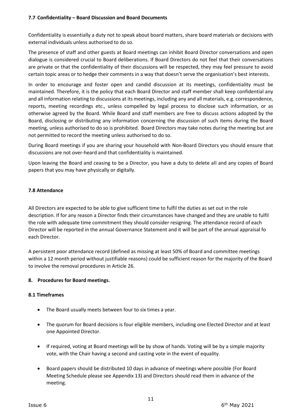Confidentiality is essentially a duty not to speak about board matters, share board materials or decisions with external individuals unless authorised to do so.

The presence of staff and other guests at Board meetings can inhibit Board Director conversations and open dialogue is considered crucial to Board deliberations. If Board Directors do not feel that their conversations are private or that the confidentiality of their discussions will be respected, they may feel pressure to avoid certain topic areas or to hedge their comments in a way that doesn't serve the organisation's best interests.

In order to encourage and foster open and candid discussion at its meetings, confidentiality must be maintained. Therefore, it is the policy that each Board Director and staff member shall keep confidential any and all information relating to discussions at its meetings, including any and all materials, e.g. correspondence, reports, meeting recordings etc., unless compelled by legal process to disclose such information, or as otherwise agreed by the Board. While Board and staff members are free to discuss actions adopted by the Board, disclosing or distributing any information concerning the discussion of such items during the Board meeting, unless authorised to do so is prohibited. Board Directors may take notes during the meeting but are not permitted to record the meeting unless authorised to do so.

During Board meetings if you are sharing your household with Non-Board Directors you should ensure that discussions are not over-heard and that confidentiality is maintained.

Upon leaving the Board and ceasing to be a Director, you have a duty to delete all and any copies of Board papers that you may have physically or digitally.

#### **7.8 Attendance**

All Directors are expected to be able to give sufficient time to fulfil the duties as set out in the role description. If for any reason a Director finds their circumstances have changed and they are unable to fulfil the role with adequate time commitment they should consider resigning. The attendance record of each Director will be reported in the annual Governance Statement and it will be part of the annual appraisal fo each Director.

A persistent poor attendance record (defined as missing at least 50% of Board and committee meetings within a 12 month period without justifiable reasons) could be sufficient reason for the majority of the Board to involve the removal procedures in Article 26.

#### **8. Procedures for Board meetings.**

#### **8.1 Timeframes**

- The Board usually meets between four to six times a year.
- The quorum for Board decisions is four eligible members, including one Elected Director and at least one Appointed Director.
- If required, voting at Board meetings will be by show of hands. Voting will be by a simple majority vote, with the Chair having a second and casting vote in the event of equality*.*
- Board papers should be distributed 10 days in advance of meetings where possible (For Board Meeting Schedule please see Appendix 13) and Directors should read them in advance of the meeting.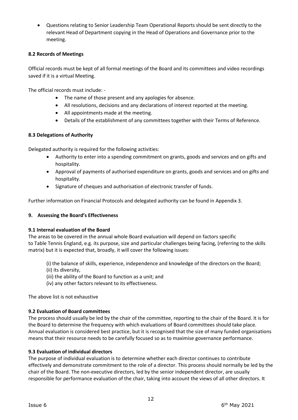• Questions relating to Senior Leadership Team Operational Reports should be sent directly to the relevant Head of Department copying in the Head of Operations and Governance prior to the meeting.

#### **8.2 Records of Meetings**

Official records must be kept of all formal meetings of the Board and its committees and video recordings saved if it is a virtual Meeting.

The official records must include: -

- The name of those present and any apologies for absence.
- All resolutions, decisions and any declarations of interest reported at the meeting.
- All appointments made at the meeting.
- Details of the establishment of any committees together with their Terms of Reference.

#### **8.3 Delegations of Authority**

Delegated authority is required for the following activities:

- Authority to enter into a spending commitment on grants, goods and services and on gifts and hospitality.
- Approval of payments of authorised expenditure on grants, goods and services and on gifts and hospitality.
- Signature of cheques and authorisation of electronic transfer of funds.

Further information on Financial Protocols and delegated authority can be found in Appendix 3.

#### **9. Assessing the Board's Effectiveness**

#### **9.1 Internal evaluation of the Board**

The areas to be covered in the annual whole Board evaluation will depend on factors specific to Table Tennis England, e.g. its purpose, size and particular challenges being facing, (referring to the skills matrix) but it is expected that, broadly, it will cover the following issues:

- (i) the balance of skills, experience, independence and knowledge of the directors on the Board;
- (ii) its diversity,
- (iii) the ability of the Board to function as a unit; and
- (iv) any other factors relevant to its effectiveness.

The above list is not exhaustive

#### **9.2 Evaluation of Board committees**

The process should usually be led by the chair of the committee, reporting to the chair of the Board. It is for the Board to determine the frequency with which evaluations of Board committees should take place. Annual evaluation is considered best practice, but it is recognised that the size of many funded organisations means that their resource needs to be carefully focused so as to maximise governance performance.

#### **9.3 Evaluation of individual directors**

The purpose of individual evaluation is to determine whether each director continues to contribute effectively and demonstrate commitment to the role of a director. This process should normally be led by the chair of the Board. The non-executive directors, led by the senior independent director, are usually responsible for performance evaluation of the chair, taking into account the views of all other directors. It